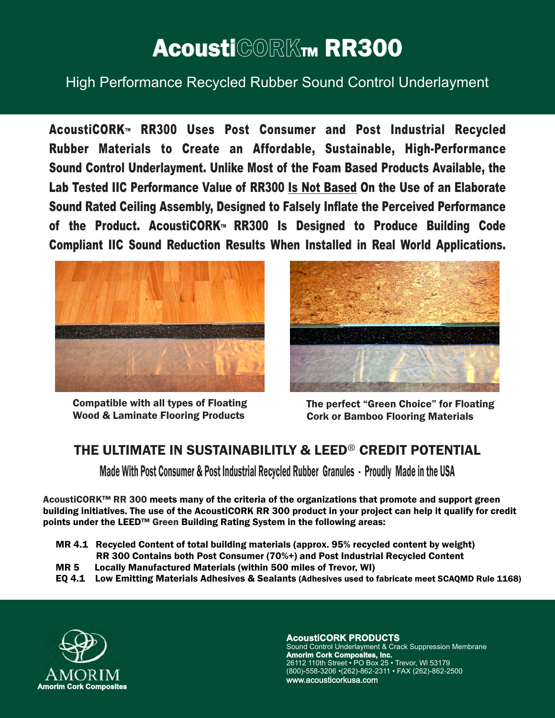# AcoustiCORKTM RR300

High Performance Recycled Rubber Sound Control Underlayment

**AcoustiCORK™ RR300 Uses Post Consumer and Post Industrial Recycled Rubber Materials to Create an Affordable, Sustainable, High-Performance Sound Control Underlayment. Unlike Most of the Foam Based Products Available, the Lab Tested IIC Performance Value of RR300 Is Not Based On the Use of an Elaborate Sound Rated Ceiling Assembly, Designed to Falsely Inflate the Perceived Performance of the Product. AcoustiCORK™ RR300 Is Designed to Produce Building Code Compliant IIC Sound Reduction Results When Installed in Real World Applications.** 



Compatible with all types of Floating Wood & Laminate Flooring Products



The perfect "Green Choice" for Floating Cork or Bamboo Flooring Materials

## THE ULTIMATE IN SUSTAINABILITLY & LEED® CREDIT POTENTIAL

Made With Post Consumer & Post Industrial Recycled Rubber Granules - Proudly Made in the USA

AcoustiCORK™ RR 300 meets many of the criteria of the organizations that promote and support green points under the LEED™ Green Building Rating System in the following areas: building initiatives. The use of the AcoustiCORK RR 300 product in your project can help it qualify for credit

- MR 4.1 Recycled Content of total building materials (approx. 95% recycled content by weight) RR 300 Contains both Post Consumer (70%+) and Post Industrial Recycled Content
- MR 5 Locally Manufactured Materials (within 500 miles of Trevor, WI)
- EQ 4.1 Low Emitting Materials Adhesives & Sealants (Adhesives used to fabricate meet SCAQMD Rule 1168)



**AcoustiCORK PRODUCTS**

Sound Control Underlayment & Crack Suppression Membrane **Amorim Cork Composites, Inc.** 26112 110th Street • PO Box 25 • Trevor, Wl 53179 (800)-558-3206 •(262)-862-2311 • FAX (262)-862-2500 www.acousticorkusa.com